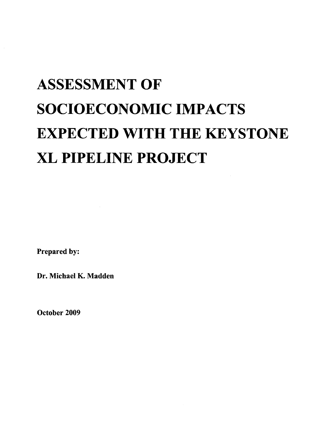# **ASSESSMENT OF SOCIOECONOMIC IMPACTS EXPECTED WITH THE KEYSTONE XL PIPELINE PROJECT**

Prepared by:

Dr. Michael K. Madden

October 2009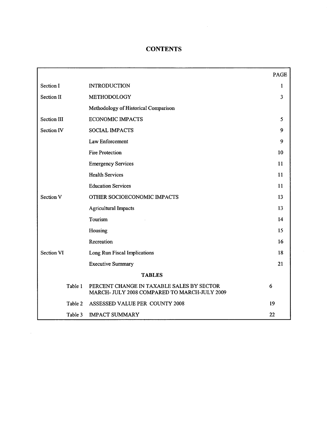# **CONTENTS**

|                    |                                                                                           | <b>PAGE</b> |  |  |
|--------------------|-------------------------------------------------------------------------------------------|-------------|--|--|
| Section I          | <b>INTRODUCTION</b>                                                                       | 1           |  |  |
| Section II         | METHODOLOGY                                                                               | 3           |  |  |
|                    | Methodology of Historical Comparison                                                      |             |  |  |
| <b>Section III</b> | <b>ECONOMIC IMPACTS</b>                                                                   | 5           |  |  |
| <b>Section IV</b>  | <b>SOCIAL IMPACTS</b>                                                                     | 9           |  |  |
|                    | Law Enforcement                                                                           | 9           |  |  |
|                    | <b>Fire Protection</b>                                                                    | 10          |  |  |
|                    | <b>Emergency Services</b>                                                                 | 11          |  |  |
|                    | <b>Health Services</b>                                                                    | 11          |  |  |
|                    | <b>Education Services</b>                                                                 | 11          |  |  |
| <b>Section V</b>   | OTHER SOCIOECONOMIC IMPACTS                                                               | 13          |  |  |
|                    | <b>Agricultural Impacts</b>                                                               | 13          |  |  |
|                    | Tourism                                                                                   | 14          |  |  |
|                    | Housing                                                                                   | 15          |  |  |
|                    | Recreation                                                                                | 16          |  |  |
| <b>Section VI</b>  | Long Run Fiscal Implications                                                              | 18          |  |  |
|                    | <b>Executive Summary</b>                                                                  | 21          |  |  |
| <b>TABLES</b>      |                                                                                           |             |  |  |
| Table 1            | PERCENT CHANGE IN TAXABLE SALES BY SECTOR<br>MARCH- JULY 2008 COMPARED TO MARCH-JULY 2009 | 6           |  |  |
| Table 2            | ASSESSED VALUE PER COUNTY 2008                                                            | 19          |  |  |
| Table 3            | <b>IMPACT SUMMARY</b>                                                                     | 22          |  |  |

 $\sim$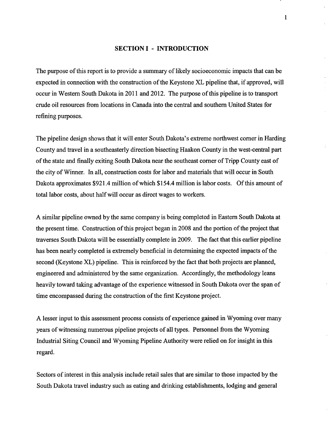#### **SECTION I - INTRODUCTION**

The purpose of this report is to provide a summary of likely socioeconomic impacts that can be expected in connection with the construction of the Keystone XL pipeline that, if approved, will occur in Western South Dakota in 2011 and 2012. The purpose of this pipeline is to transport crude oil resources from locations in Canada into the central and southern United States for refining purposes.

The pipeline design shows that it will enter South Dakota's extreme northwest comer in Harding County and travel in a southeasterly direction bisecting Haakon County in the west-central part of the state and finally exiting South Dakota near the southeast corner of Tripp County east of the city of Winner. In all, construction costs for labor and materials that will occur in South Dakota approximates \$921.4 million of which \$154.4 million is labor costs. Of this amount of total labor costs, about halfwill occur as direct wages to workers.

A similar pipeline owned by the same company is being completed in Eastern South Dakota at the present time. Construction of this project began in 2008 and the portion of the project that traverses South Dakota will be essentially complete in 2009. The fact that this earlier pipeline has been nearly completed is extremely beneficial in determining the expected impacts of the second (Keystone XL) pipeline. This is reinforced by the fact that both projects are planned, engineered and administered by the same organization. Accordingly, the methodology leans heavily toward taking advantage of the experience witnessed in South Dakota over the span of time encompassed during the construction of the first Keystone project.

A lesser input to this assessment process consists of experience gained in Wyoming over many years of witnessing numerous pipeline projects of all types. Personnel from the Wyoming Industrial Siting Council and Wyoming Pipeline Authority were relied on for insight in this regard.

Sectors of interest in this analysis include retail sales that are similar to those impacted by the South Dakota travel industry such as eating and drinking establishments, lodging and general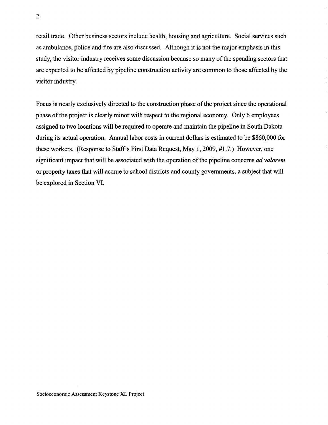retail trade. Other business sectors include health, housing and agriculture. Social services such as ambulance, police and fire are also discussed. Although it is not the major emphasis in this study, the visitor industry receives some discussion because so many of the spending sectors that are expected to be affected by pipeline construction activity are common to those affected by the visitor industry.

Focus is nearly exclusively directed to the construction phase of the project since the operational phase of the project is clearly minor with respect to the regional economy. Only 6 employees assigned to two locations will be required to operate and maintain the pipeline in South Dakota during its actual operation. Annual labor costs in current dollars is estimated to be \$860,000 for these workers. (Response to Staff's First Data Request, May 1, 2009, #1.7.) However, one significant impact that will be associated with the operation of the pipeline concerns *ad valorem* or property taxes that will accrue to school districts and county governments, a subject that will be explored in Section VI.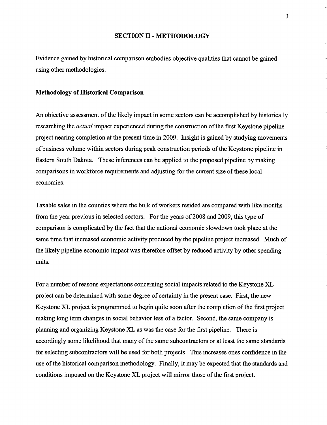#### **SECTION II - METHODOLOGY**

Evidence gained by historical comparison embodies objective qualities that cannot be gained using other methodologies.

#### **Methodology of Historical Comparison**

An objective assessment of the likely impact in some sectors can be accomplished by historically researching the *actual* impact experienced during the construction ofthe first Keystone pipeline project nearing completion at the present time in 2009. Insight is gained by studying movements of business volume within sectors during peak construction periods of the Keystone pipeline in Eastern South Dakota. These inferences can be applied to the proposed pipeline by making comparisons in workforce requirements and adjusting for the current size of these local economies.

Taxable sales in the counties where the bulk ofworkers resided are compared with like months from the year previous in selected sectors. For the years of 2008 and 2009, this type of comparison is complicated by the fact that the national economic slowdown took place at the same time that increased economic activity produced by the pipeline project increased. Much of the likely pipeline economic impact was therefore offset by reduced activity by other spending units.

For a number of reasons expectations concerning social impacts related to the Keystone XL project can be determined with some degree of certainty in the present case. First, the new Keystone XL project is programmed to begin quite soon after the completion of the first project making long term changes in social behavior less of a factor. Second, the same company is planning and organizing Keystone XL as was the case for the first pipeline. There is accordingly some likelihood that many of the same subcontractors or at least the same standards for selecting subcontractors will be used for both projects. This increases ones confidence in the use of the historical comparison methodology. Finally, it may be expected that the standards and conditions imposed on the Keystone XL project will mirror those of the first project.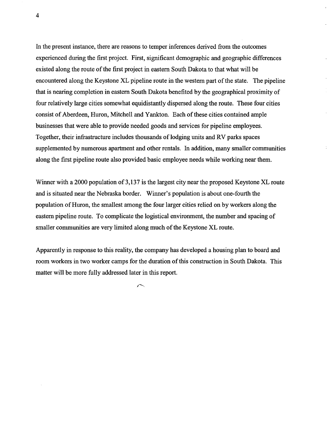In the present instance, there are reasons to temper inferences derived from the outcomes experienced during the first project. First, significant demographic and geographic differences existed along the route of the first project in eastern South Dakota to that what will be encountered along the Keystone XL pipeline route in the western part of the state. The pipeline that is nearing completion in eastern South Dakota benefited by the geographical proximity of four relatively large cities somewhat equidistantly dispersed along the route. These four cities consist of Aberdeen, Huron, Mitchell and Yankton. Each of these cities contained ample businesses that were able to provide needed goods and services for pipeline employees. Together, their infrastructure includes thousands of lodging units and RV parks spaces supplemented by numerous apartment and other rentals. In addition, many smaller communities along the first pipeline route also provided basic employee needs while working near them.

Winner with a 2000 population of 3,137 is the largest city near the proposed Keystone XL route and is situated near the Nebraska border. Winner's population is about one-fourth the population of Huron, the smallest among the four larger cities relied on by workers along the eastern pipeline route. To complicate the logistical environment, the number and spacing of smaller communities are very limited along much of the Keystone XL route.

Apparently in response to this reality, the company has developed a housing plan to board and room workers in two worker camps for the duration of this construction in South Dakota. This matter will be more fully addressed later in this report.

 $\left.\rightleftharpoondown$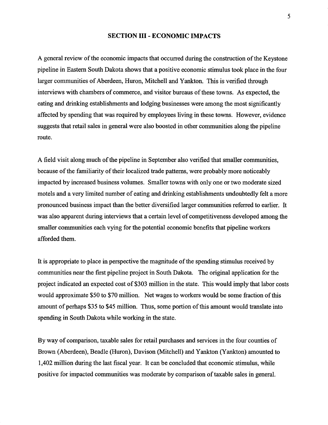#### **SECTION III - ECONOMIC IMPACTS**

A general review of the economic impacts that occurred during the construction of the Keystone pipeline in Eastern South Dakota shows that a positive economic stimulus took place in the four larger communities of Aberdeen, Huron, Mitchell and Yankton. This is verified through interviews with chambers of commerce, and visitor bureaus of these towns. As expected, the eating and drinking establishments and lodging businesses were among the most significantly affected by spending that was required by employees living in these towns. However, evidence suggests that retail sales in general were also boosted in other communities along the pipeline route.

A field visit along much of the pipeline in September also verified that smaller communities, because of the familiarity of their localized trade patterns, were probably more noticeably impacted by increased business volumes. Smaller towns with only one or two moderate sized motels and a very limited number of eating and drinking establishments undoubtedly felt a more pronounced business impact than the better diversified larger communities referred to earlier. It was also apparent during interviews that a certain level of competitiveness developed among the smaller communities each vying for the potential economic benefits that pipeline workers afforded them.

It is appropriate to place in perspective the magnitude of the spending stimulus received by communities near the first pipeline project in South Dakota. The original application for the project indicated an expected cost of \$303 million in the state. This would imply that labor costs would approximate \$50 to \$70 million. Net wages to workers would be some fraction of this amount of perhaps \$35 to \$45 million. Thus, some portion of this amount would translate into spending in South Dakota while working in the state.

By way of comparison, taxable sales for retail purchases and services in the four counties of Brown (Aberdeen), Beadle (Huron), Davison (Mitchell) and Yankton (Yankton) amounted to 1,402 million during the last fiscal year. It can be concluded that economic stimulus, while positive for impacted communities was moderate by comparison oftaxable sales in general.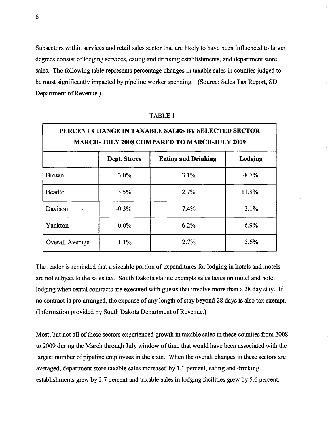Subsectors within services and retail sales sector that are likely to have been influenced to larger degrees consist of lodging services, eating and drinking establishments, and department store sales. The following table represents percentage changes in taxable sales in counties judged to be most significantly impacted by pipeline worker spending. (Source: Sales Tax Report, SD Department of Revenue.)

| PERCENT CHANGE IN TAXABLE SALES BY SELECTED SECTOR<br><b>MARCH- JULY 2008 COMPARED TO MARCH-JULY 2009</b> |                     |                            |         |  |  |
|-----------------------------------------------------------------------------------------------------------|---------------------|----------------------------|---------|--|--|
|                                                                                                           | <b>Dept. Stores</b> | <b>Eating and Drinking</b> | Lodging |  |  |
| <b>Brown</b>                                                                                              | 3.0%                | 3.1%                       | $-8.7%$ |  |  |
| Beadle                                                                                                    | 3.5%                | 2.7%                       | 11.8%   |  |  |
| Davison                                                                                                   | $-0.3%$             | 7.4%                       | $-3.1%$ |  |  |
| Yankton                                                                                                   | $0.0\%$             | 6.2%                       | $-6.9%$ |  |  |
| <b>Overall Average</b>                                                                                    | 1.1%                | 2.7%                       | 5.6%    |  |  |

TABLE 1

The reader is reminded that a sizeable portion of expenditures for lodging in hotels and motels are not subject to the sales tax. South Dakota statute exempts sales taxes on motel and hotel lodging when rental contracts are executed with guests that involve more than a 28 day stay. If no contract is pre-arranged, the expense of any length of stay beyond 28 days is also tax exempt. (Information provided by South Dakota Department of Revenue.)

Most, but not all of these sectors experienced growth in taxable sales in these counties from 2008 to 2009 during the March through July window of time that would have been associated with the largest number of pipeline employees in the state. When the overall changes in these sectors are averaged, department store taxable sales increased by 1.1 percent, eating and drinking establishments grew by 2.7 percent and taxable sales in lodging facilities grew by 5.6 percent.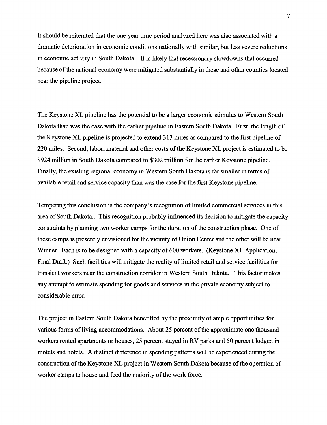It should be reiterated that the one year time period analyzed here was also associated with a dramatic deterioration in economic conditions nationally with similar, but less severe reductions in economic activity in South Dakota. It is likely that recessionary slowdowns that occurred because of the national economy were mitigated substantially in these and other counties located near the pipeline project.

The Keystone XL pipeline has the potential to be a larger economic stimulus to Western South Dakota than was the case with the earlier pipeline in Eastern South Dakota. First, the length of the Keystone XL pipeline is projected to extend 313 miles as compared to the first pipeline of 220 miles. Second, labor, material and other costs of the Keystone XL project is estimated to be \$924 million in South Dakota compared to \$302 million for the earlier Keystone pipeline. Finally, the existing regional economy in Western South Dakota is far smaller in terms of available retail and service capacity than was the case for the first Keystone pipeline.

Tempering this conclusion is the company's recognition of limited commercial services in this area of South Dakota.. This recognition probably influenced its decision to mitigate the capacity constraints by planning two worker camps for the duration of the construction phase. One of these camps is presently envisioned for the vicinity of Union Center and the other will be near Winner. Each is to be designed with a capacity of 600 workers. (Keystone XL Application, Final Draft.) Such facilities will mitigate the reality of limited retail and service facilities for transient workers near the construction corridor in Western South Dakota. This factor makes any attempt to estimate spending for goods and services in the private economy subject to considerable error.

The project in Eastern South Dakota benefitted by the proximity of ample opportunities for various forms of living accommodations. About 25 percent of the approximate one thousand workers rented apartments or houses, 25 percent stayed in RV parks and 50 percent lodged in motels and hotels. A distinct difference in spending patterns will be experienced during the construction of the Keystone XL project in Western South Dakota because of the operation of worker camps to house and feed the majority of the work force.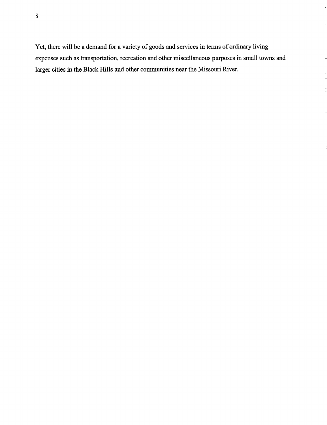8

Yet, there will be a demand for a variety of goods and services in terms of ordinary living expenses such as transportation, recreation and other miscellaneous purposes in small towns and larger cities in the Black Hills and other communities near the Missouri River.

 $\tilde{\phantom{a}}$ 

 $\overline{a}$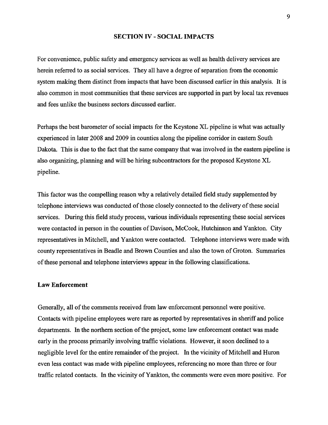# **SECTION IV - SOCIAL IMPACTS**

For convenience, public safety and emergency services as well as health delivery services are herein referred to as social services. They all have a degree of separation from the economic system making them distinct from impacts that have been discussed earlier in this analysis. It is also common in most communities that these services are supported in part by local tax revenues and fees unlike the business sectors discussed earlier.

Perhaps the best barometer of social impacts for the Keystone XL pipeline is what was actually experienced in later 2008 and 2009 in counties along the pipeline corridor in eastern South Dakota. This is due to the fact that the same company that was involved in the eastern pipeline is also organizing, planning and will be hiring subcontractors for the proposed Keystone XL pipeline.

This factor was the compelling reason why a relatively detailed field study supplemented by telephone interviews was conducted of those closely connected to the delivery of these social services. During this field study process, various individuals representing these social services were contacted in person in the counties of Davison, McCook, Hutchinson and Yankton. City representatives in Mitchell, and Yankton were contacted. Telephone interviews were made with county representatives in Beadle and Brown Counties and also the town of Groton. Summaries ofthese personal and telephone interviews appear in the following classifications.

# **Law Enforcement**

Generally, all of the comments received from law enforcement personnel were positive. Contacts with pipeline employees were rare as reported by representatives in sheriff and police departments. In the northern section of the project, some law enforcement contact was made early in the process primarily involving traffic violations. However, it soon declined to a negligible level for the entire remainder of the project. In the vicinity of Mitchell and Huron even less contact was made with pipeline employees, referencing no more than three or four traffic related contacts. In the vicinity of Yankton, the comments were even more positive. For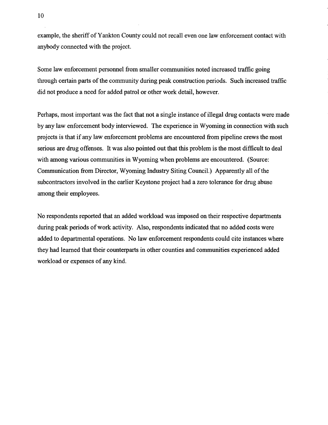example, the sheriff ofYankton County could not recall even one law enforcement contact with anybody connected with the project.

Some law enforcement personnel from smaller communities noted increased traffic going through certain parts of the community during peak construction periods. Such increased traffic did not produce a need for added patrol or other work detail, however.

Perhaps, most important was the fact that not a single instance of illegal drug contacts were made by any law enforcement body interviewed. The experience in Wyoming in connection with such projects is that if any law enforcement problems are encountered from pipeline crews the most serious are drug offenses. It was also pointed out that this problem is the most difficult to deal with among various communities in Wyoming when problems are encountered. (Source: Communication from Director, Wyoming Industry Siting Council.) Apparently all of the subcontractors involved in the earlier Keystone project had a zero tolerance for drug abuse among their employees.

No respondents reported that an added workload was imposed on their respective departments during peak periods of work activity. Also, respondents indicated that no added costs were added to departmental operations. No law enforcement respondents could cite instances where they had learned that their counterparts in other counties and communities experienced added workload or expenses of any kind.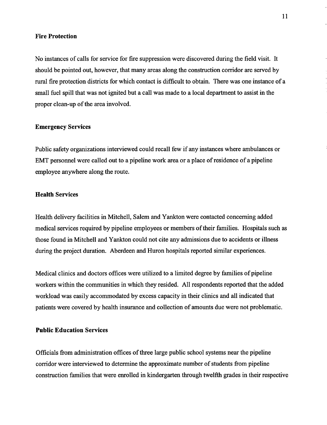## **Fire Protection**

No instances of calls for service for fire suppression were discovered during the field visit. It should be pointed out, however, that many areas along the construction corridor are served by rural fire protection districts for which contact is difficult to obtain. There was one instance of a small fuel spill that was not ignited but a call was made to a local department to assist in the proper clean-up of the area involved.

#### **Emergency Services**

Public safety organizations interviewed could recall few if any instances where ambulances or EMT personnel were called out to a pipeline work area or a place of residence of a pipeline employee anywhere along the route.

# **Health Services**

Health delivery facilities in Mitchell, Salem and yankton were contacted concerning added medical services required by pipeline employees or members of their families. Hospitals such as those found in Mitchell and Yankton could not cite any admissions due to accidents or illness during the project duration. Aberdeen and Huron hospitals reported similar experiences.

Medical clinics and doctors offices were utilized to a limited degree by families of pipeline workers within the communities in which they resided. All respondents reported that the added workload was easily accommodated by excess capacity in their clinics and all indicated that patients were covered by health insurance and collection of amounts due were not problematic.

# **Public Education Services**

Officials from administration offices of three large public school systems near the pipeline corridor were interviewed to determine the approximate number of students from pipeline construction families that were enrolled in kindergarten through twelfth grades in their respective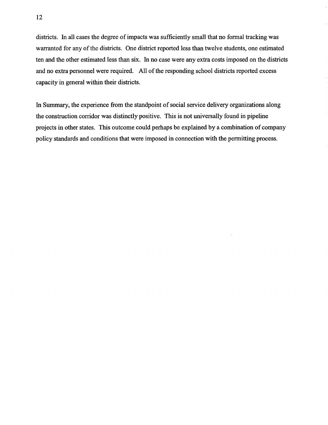districts. In all cases the degree of impacts was sufficiently small that no formal tracking was warranted for any of the districts. One district reported less than twelve students, one estimated ten and the other estimated less than six. In no case were any extra costs imposed on the districts and no extra personnel were required. All of the responding school districts reported excess capacity in general within their districts.

In Summary, the experience from the standpoint of social service delivery organizations along the construction corridor was distinctly positive. This is not universally found in pipeline projects in other states. This outcome could perhaps be explained by a combination of company policy standards and conditions that were imposed in connection with the permitting process.

 $\mathcal{L}$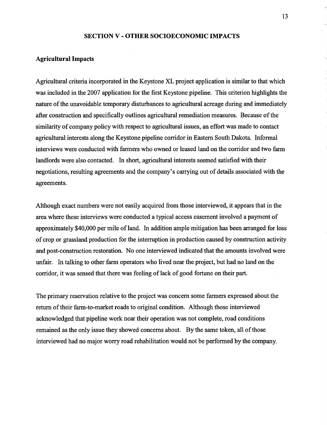#### **SECTION V - OTHER SOCIOECONOMIC IMPACTS**

#### **Agricultural Impacts**

Agricultural criteria incorporated in the Keystone XL project application is similar to that which was included in the 2007 application for the first Keystone pipeline. This criterion highlights the nature of the unavoidable temporary disturbances to agricultural acreage during and immediately after construction and specifically outlines agricultural remediation measures. Because of the similarity of company policy with respect to agricultural issues, an effort was made to contact agricultural interests along the Keystone pipeline corridor in Eastern South Dakota. Informal interviews were conducted with farmers who owned or leased land on the corridor and two farm landlords were also contacted. In short, agricultural interests seemed satisfied with their negotiations, resulting agreements and the company's carrying out of details associated with the agreements.

Although exact numbers were not easily acquired from those interviewed, it appears that in the area where these interviews were conducted a typical access easement involved a payment of approximately \$40,000 per mile of land. In addition ample mitigation has been arranged for loss of crop or grassland production for the interruption in production caused by construction activity and post-construction restoration. No one interviewed indicated that the amounts involved were unfair. In talking to other farm operators who lived near the project, but had no land on the corridor, it was sensed that there was feeling of lack of good fortune on their part.

The primary reservation relative to the project was concern some farmers expressed about the return of their farm-to-market roads to original condition. Although those interviewed acknowledged that pipeline work near their operation was not complete, road conditions remained as the only issue they showed concerns about. By the same token, all of those interviewed had no major worry road rehabilitation would not be performed by the company.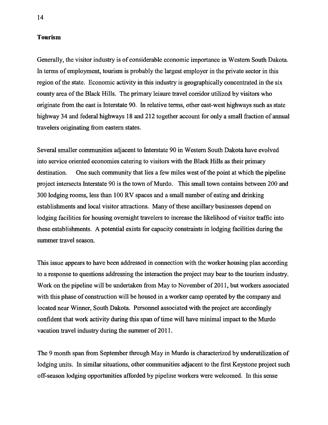# **Tourism**

Generally, the visitor industry is of considerable economic importance in Western South Dakota. In terms of employment, tourism is probably the largest employer in the private sector in this region of the state. Economic activity in this industry is geographically concentrated in the six county area of the Black Hills. The primary leisure travel corridor utilized by visitors who originate from the east is Interstate 90. In relative terms, other east-west highways such as state highway 34 and federal highways 18 and 212 together account for only a small fraction of annual travelers originating from eastern states.

Several smaller communities adjacent to Interstate 90 in Western South Dakota have evolved into service oriented economies catering to visitors with the Black Hills as their primary destination. One such community that lies a few miles west of the point at which the pipeline project intersects Interstate 90 is the town of Murdo. This small town contains between 200 and 300 lodging rooms, less than 100 RV spaces and a small number of eating and drinking establishments and local visitor attractions. Many of these ancillary businesses depend on lodging facilities for housing overnight travelers to increase the likelihood of visitor traffic into these establishments. A potential exists for capacity constraints in lodging facilities during the summer travel season.

This issue appears to have been addressed in connection with the worker housing plan according to a response to questions addressing the interaction the project may bear to the tourism industry. Work on the pipeline will be undertaken from May to November of 2011, but workers associated with this phase of construction will be housed in a worker camp operated by the company and located near Winner, South Dakota. Personnel associated with the project are accordingly confident that work activity during this span of time will have minimal impact to the Murdo vacation travel industry during the summer of 2011.

The 9 month span from September through May in Murdo is characterized by underutilization of lodging units. In similar situations, other communities adjacent to the first Keystone project such off-season lodging opportunities afforded by pipeline workers were welcomed. In this sense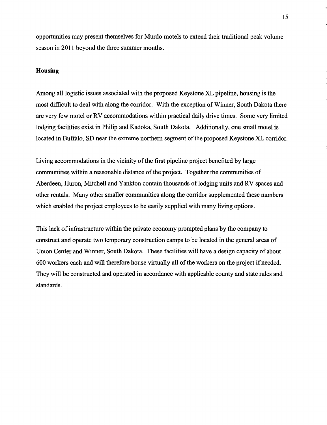opportunities may present themselves for Murdo motels to extend their traditional peak volume season in 2011 beyond the three summer months.

# **Housing**

Among all logistic issues associated with the proposed Keystone XL pipeline, housing is the most difficult to deal with along the corridor. With the exception ofWinner, South Dakota there are very few motel or RV accommodations within practical daily drive times. Some very limited lodging facilities exist in Philip and Kadoka, South Dakota. Additionally, one small motel is located in Buffalo, SD near the extreme northern segment of the proposed Keystone XL corridor.

Living accommodations in the vicinity of the first pipeline project benefited by large communities within a reasonable distance of the project. Together the communities of Aberdeen, Huron, Mitchell and Yankton contain thousands of lodging units and RV spaces and other rentals. Many other smaller communities along the corridor supplemented these numbers which enabled the project employees to be easily supplied with many living options.

This lack of infrastructure within the private economy prompted plans by the company to construct and operate two temporary construction camps to be located in the general areas of Union Center and Winner, South Dakota. These facilities will have a design capacity of about 600 workers each and will therefore house virtually all of the workers on the project if needed. They will be constructed and operated in accordance with applicable county and state rules and standards.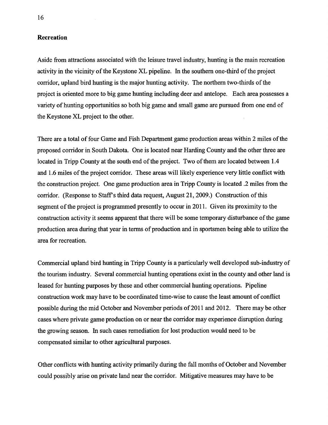## **Recreation**

Aside from attractions associated with the leisure travel industry, hunting is the main recreation activity in the vicinity of the Keystone XL pipeline. In the southern one-third of the project corridor, upland bird hunting is the major hunting activity. The northern two-thirds of the project is oriented more to big game hunting including deer and antelope. Each area possesses a variety of hunting opportunities so both big game and small game are pursued from one end of the Keystone XL project to the other.

There are a total of four Game and Fish Department game production areas within 2 miles of the proposed corridor in South Dakota. One is located near Harding County and the other three are located in Tripp County at the south end of the project. Two of them are located between 1.4 and 1.6 miles of the project corridor. These areas will likely experience very little conflict with the construction project. One game production area in Tripp County is located .2 miles from the corridor. (Response to Staff's third data request, August 21, 2009.) Construction of this segment of the project is programmed presently to occur in 2011. Given its proximity to the construction activity it seems apparent that there will be some temporary disturbance ofthe game production area during that year in terms of production and in sportsmen being able to utilize the area for recreation.

Commercial upland bird hunting in Tripp County is a particularly well developed sub-industry of the tourism industry. Several commercial hunting operations exist in the county and other land is leased for hunting purposes by these and other commercial hunting operations. Pipeline construction work may have to be coordinated time-wise to cause the least amount of conflict possible during the mid October and November periods of 2011 and 2012. There may be other cases where private game production on or near the corridor may experience disruption during the growing season. In such cases remediation for lost production would need to be compensated similar to other agricultural purposes.

Other conflicts with hunting activity primarily during the fall months of October and November could possibly arise on private land near the corridor. Mitigative measures may have to be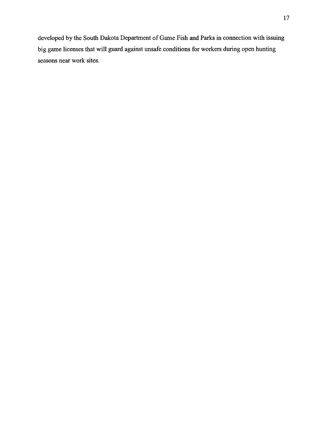developed by the South Dakota Department of Game Fish and Parks in connection with issuing big game licenses that will guard against unsafe conditions for workers during open hunting seasons near work sites.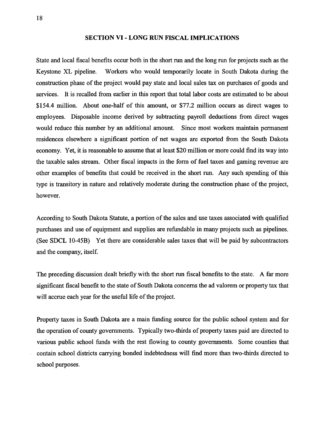## **SECTION VI - LONG RUN FISCAL IMPLICATIONS**

State and local fiscal benefits occur both in the short run and the long run for projects such as the Keystone XL pipeline. Workers who would temporarily locate in South Dakota during the construction phase of the project would pay state and local sales tax on purchases of goods and services. It is recalled from earlier in this report that total labor costs are estimated to be about \$154.4 million. About one-half of this amount, or \$77.2 million occurs as direct wages to employees. Disposable income derived by subtracting payroll deductions from direct wages would reduce this number by an additional amount. Since most workers maintain permanent residences elsewhere a significant portion of net wages are exported from the South Dakota economy. Yet, it is reasonable to assume that at least \$20 million or more could find its way into the taxable sales stream. Other fiscal impacts in the form of fuel taxes and gaming revenue are other examples of benefits that could be received in the short run. Any such spending of this type is transitory in nature and relatively moderate during the construction phase of the project, however.

According to South Dakota Statute, a portion of the sales and use taxes associated with qualified purchases and use of equipment and supplies are refundable in many projects such as pipelines. (See SDCL 10-45B) Yet there are considerable sales taxes that will be paid by subcontractors and the company, itself.

The preceding discussion dealt briefly with the short run fiscal benefits to the state. A far more significant fiscal benefit to the state of South Dakota concerns the ad valorem or property tax that will accrue each year for the useful life of the project.

Property taxes in South Dakota are a main funding source for the public school system and for the operation of county governments. Typically two-thirds of property taxes paid are directed to various public school funds with the rest flowing to county governments. Some counties that contain school districts carrying bonded indebtedness will find more than two-thirds directed to school purposes.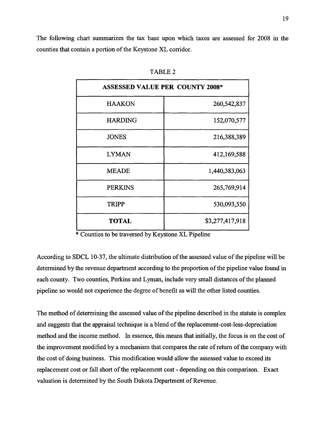The following chart summarizes the tax base upon which taxes are assessed for 2008 in the counties that contain a portion of the Keystone XL corridor.

| <b>ASSESSED VALUE PER COUNTY 2008*</b> |                 |  |  |
|----------------------------------------|-----------------|--|--|
| <b>HAAKON</b>                          | 260,542,837     |  |  |
| <b>HARDING</b>                         | 152,070,577     |  |  |
| <b>JONES</b>                           | 216,388,389     |  |  |
| <b>LYMAN</b>                           | 412,169,588     |  |  |
| <b>MEADE</b>                           | 1,440,383,063   |  |  |
| <b>PERKINS</b>                         | 265,769,914     |  |  |
| <b>TRIPP</b>                           | 530,093,550     |  |  |
| <b>TOTAL</b>                           | \$3,277,417,918 |  |  |

| <b>FABLE 2</b> |  |
|----------------|--|
|----------------|--|

\* Counties to be traversed by Keystone XL Pipeline

According to SDCL 10-37, the ultimate distribution of the assessed value of the pipeline will be determined by the revenue department according to the proportion of the pipeline value found in each county. Two counties, Perkins and Lyman, include very small distances of the planned pipeline so would not experience the degree of benefit as will the other listed counties.

The method of determining the assessed value of the pipeline described in the statute is complex and suggests that the appraisal technique is a blend of the replacement-cost-less-depreciation method and the income method. In essence, this means that initially, the focus is on the cost of the improvement modified by a mechanism that compares the rate of return of the company with the cost of doing business. This modification would allow the assessed value to exceed its replacement cost or fall short of the replacement cost - depending on this comparison. Exact valuation is determined by the South Dakota Department of Revenue.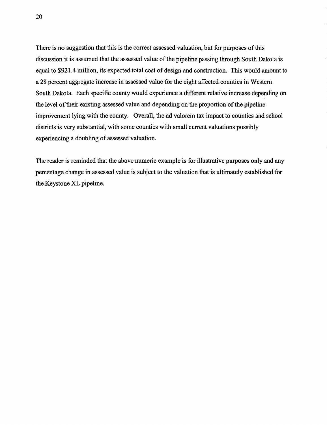There is no suggestion that this is the correct assessed valuation, but for purposes of this discussion it is assumed that the assessed value of the pipeline passing through South Dakota is equal to \$921.4 million, its expected total cost of design and construction. This would amount to a 28 percent aggregate increase in assessed value for the eight affected counties in Western South Dakota. Each specific county would experience a different relative increase depending on the level of their existing assessed value and depending on the proportion of the pipeline improvement lying with the county. Overall, the ad valorem tax impact to counties and school districts is very substantial, with some counties with small current valuations possibly experiencing a doubling of assessed valuation.

The reader is reminded that the above numeric example is for illustrative purposes only and any percentage change in assessed value is subject to the valuation that is ultimately established for the Keystone XL pipeline.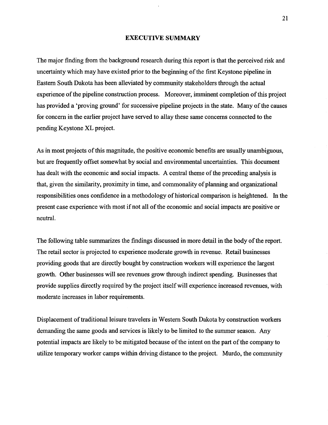#### **EXECUTIVE SUMMARY**

The major finding from the background research during this report is that the perceived risk and uncertainty which may have existed prior to the beginning of the first Keystone pipeline in Eastern South Dakota has been alleviated by community stakeholders through the actual experience of the pipeline construction process. Moreover, imminent completion of this project has provided a 'proving ground' for successive pipeline projects in the state. Many of the causes for concern in the earlier project have served to allay these same concerns connected to the pending Keystone XL project.

As in most projects of this magnitude, the positive economic benefits are usually unambiguous, but are frequently offset somewhat by social and environmental uncertainties. This document has dealt with the economic and social impacts. A central theme of the preceding analysis is that, given the similarity, proximity in time, and commonality of planning and organizational responsibilities ones confidence in a methodology of historical comparison is heightened. In the present case experience with most if not all of the economic and social impacts are positive or neutral.

The following table summarizes the findings discussed in more detail in the body of the report. The retail sector is projected to experience moderate growth in revenue. Retail businesses providing goods that are directly bought by construction workers will experience the largest growth. Other businesses will see revenues grow through indirect spending. Businesses that provide supplies directly required by the project itselfwill experience increased revenues, with moderate increases in labor requirements.

Displacement of traditional leisure travelers in Western South Dakota by construction workers demanding the same goods and services is likely to be limited to the summer season. Any potential impacts are likely to be mitigated because of the intent on the part of the company to utilize temporary worker camps within driving distance to the project. Murdo, the community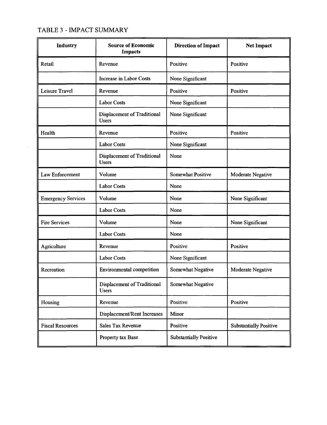# TABLE 3 - IMPACT SUMMARY

 $\bar{\Delta}$ 

| Industry                  | <b>Source of Economic</b><br>Impacts               | <b>Direction of Impact</b>    | <b>Net Impact</b>             |
|---------------------------|----------------------------------------------------|-------------------------------|-------------------------------|
| Retail                    | Revenue                                            | Positive                      | Positive                      |
|                           | Increase in Labor Costs                            | None Significant              |                               |
| Leisure Travel            | Revenue                                            | Positive                      | Positive                      |
|                           | <b>Labor Costs</b>                                 | None Significant              |                               |
|                           | Displacement of Traditional<br><b>Users</b>        | None Significant              |                               |
| Health                    | Revenue                                            | Positive                      | Positive                      |
|                           | <b>Labor Costs</b>                                 | None Significant              |                               |
|                           | <b>Displacement of Traditional</b><br><b>Users</b> | None                          |                               |
| Law Enforcement           | Volume                                             | Somewhat Positive             | Moderate Negative             |
|                           | <b>Labor Costs</b>                                 | None                          |                               |
| <b>Emergency Services</b> | Volume                                             | None                          | None Significant              |
|                           | <b>Labor Costs</b>                                 | None                          |                               |
| <b>Fire Services</b>      | Volume                                             | None                          | None Significant              |
|                           | <b>Labor Costs</b>                                 | None                          |                               |
| Agriculture               | Revenue                                            | Positive                      | Positive                      |
|                           | <b>Labor Costs</b>                                 | None Significant              |                               |
| Recreation                | <b>Environmental competition</b>                   | Somewhat Negative             | Moderate Negative             |
|                           | Displacement of Traditional<br><b>Users</b>        | Somewhat Negative             |                               |
| Housing                   | Revenue                                            | Positive                      | Positive                      |
|                           | Displacement/Rent Increases                        | Minor                         |                               |
| <b>Fiscal Resources</b>   | Sales Tax Revenue                                  | Positive                      | <b>Substantially Positive</b> |
|                           | Property tax Base                                  | <b>Substantially Positive</b> |                               |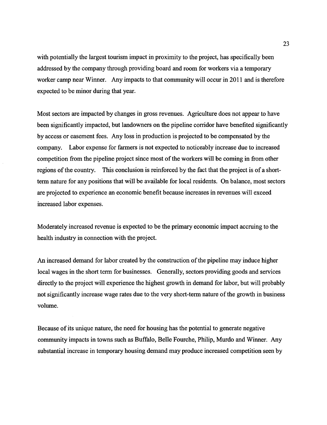with potentially the largest tourism impact in proximity to the project, has specifically been addressed by the company through providing board and room for workers via a temporary worker camp near Winner. Any impacts to that community will occur in 2011 and is therefore expected to be minor during that year.

Most sectors are impacted by changes in gross revenues. Agriculture does not appear to have been significantly impacted, but landowners on the pipeline corridor have benefited significantly by access or easement fees. Any loss in production is projected to be compensated by the company. Labor expense for farmers is not expected to noticeably increase due to increased competition from the pipeline project since most of the workers will be coming in from other regions of the country. This conclusion is reinforced by the fact that the project is of a shortterm nature for any positions that will be available for local residents. On balance, most sectors are projected to experience an economic benefit because increases in revenues will exceed increased labor expenses.

Moderately increased revenue is expected to be the primary economic impact accruing to the health industry in connection with the project.

An increased demand for labor created by the construction of the pipeline may induce higher local wages in the short term for businesses. Generally, sectors providing goods and services directly to the project will experience the highest growth in demand for labor, but will probably not significantly increase wage rates due to the very short-term nature ofthe growth in business volume.

Because of its unique nature, the need for housing has the potential to generate negative community impacts in towns such as Buffalo, Belle Fourche, Philip, Murdo and Winner. Any substantial increase in temporary housing demand may produce increased competition seen by